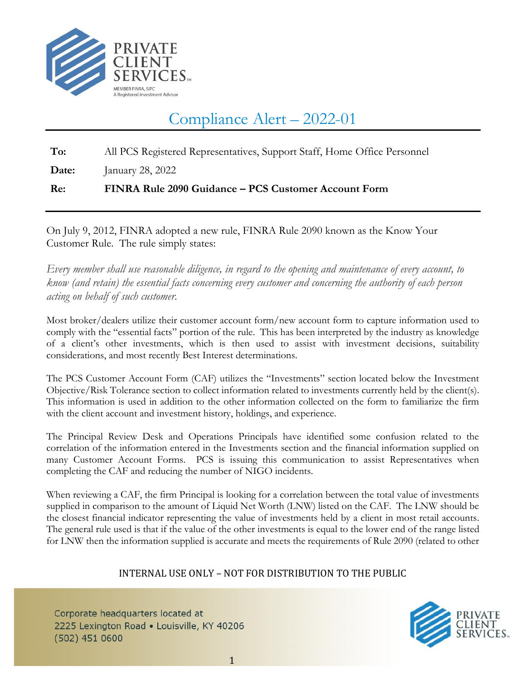

## Compliance Alert – 2022-01

**To:** All PCS Registered Representatives, Support Staff, Home Office Personnel

**Date:** January 28, 2022

**Re: FINRA Rule 2090 Guidance – PCS Customer Account Form**

On July 9, 2012, FINRA adopted a new rule, FINRA Rule 2090 known as the Know Your Customer Rule. The rule simply states:

*Every member shall use reasonable diligence, in regard to the opening and maintenance of every account, to know (and retain) the essential facts concerning every customer and concerning the authority of each person acting on behalf of such customer.*

Most broker/dealers utilize their customer account form/new account form to capture information used to comply with the "essential facts" portion of the rule. This has been interpreted by the industry as knowledge of a client's other investments, which is then used to assist with investment decisions, suitability considerations, and most recently Best Interest determinations.

The PCS Customer Account Form (CAF) utilizes the "Investments" section located below the Investment Objective/Risk Tolerance section to collect information related to investments currently held by the client(s). This information is used in addition to the other information collected on the form to familiarize the firm with the client account and investment history, holdings, and experience.

The Principal Review Desk and Operations Principals have identified some confusion related to the correlation of the information entered in the Investments section and the financial information supplied on many Customer Account Forms. PCS is issuing this communication to assist Representatives when completing the CAF and reducing the number of NIGO incidents.

When reviewing a CAF, the firm Principal is looking for a correlation between the total value of investments supplied in comparison to the amount of Liquid Net Worth (LNW) listed on the CAF. The LNW should be the closest financial indicator representing the value of investments held by a client in most retail accounts. The general rule used is that if the value of the other investments is equal to the lower end of the range listed for LNW then the information supplied is accurate and meets the requirements of Rule 2090 (related to other

## INTERNAL USE ONLY – NOT FOR DISTRIBUTION TO THE PUBLIC

Corporate headquarters located at 2225 Lexington Road . Louisville, KY 40206  $(502)$  451 0600